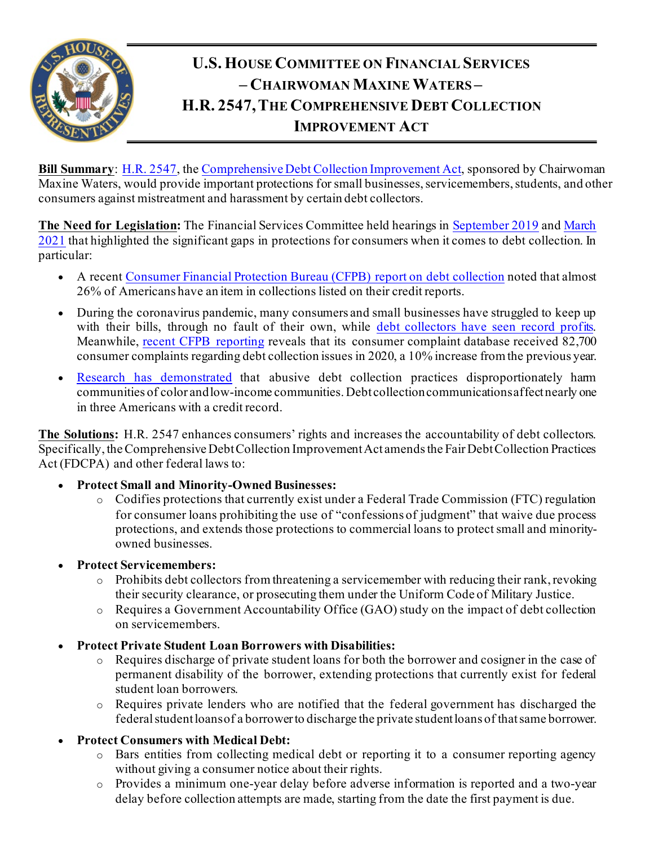

## **U.S. HOUSE COMMITTEE ON FINANCIAL SERVICES – CHAIRWOMAN MAXINE WATERS – H.R. 2547,THE COMPREHENSIVE DEBT COLLECTION IMPROVEMENT ACT**

**Bill Summary:** [H.R. 2547,](https://www.congress.gov/bill/117th-congress/house-bill/2547) th[e Comprehensive Debt Collection Improvement Act](https://www.congress.gov/117/crpt/hrpt23/CRPT-117hrpt23.pdf), sponsored by Chairwoman Maxine Waters, would provide important protections for small businesses, servicemembers, students, and other consumers against mistreatment and harassment by certain debt collectors.

**The Need for Legislation:** The Financial Services Committee held hearings in [September 2019](https://financialservices.house.gov/calendar/eventsingle.aspx?EventID=404239) an[d March](https://financialservices.house.gov/calendar/eventsingle.aspx?EventID=406266)  [2021](https://financialservices.house.gov/calendar/eventsingle.aspx?EventID=406266) that highlighted the significant gaps in protections for consumers when it comes to debt collection. In particular:

- A recent [Consumer Financial Protection Bureau \(CFPB\) report on debt collection](https://files.consumerfinance.gov/f/documents/cfpb_fdcpa_annual-report-congress_03-2021.pdf) noted that almost 26% of Americans have an item in collections listed on their credit reports.
- During the coronavirus pandemic, many consumers and small businesses have struggled to keep up with their bills, through no fault of their own, while [debt collectors have seen record profits.](https://www.propublica.org/article/debt-collectors-have-made-a-fortune-this-year-now-theyre-coming-for-more) Meanwhile, [recent CFPB reporting](https://files.consumerfinance.gov/f/documents/cfpb_fdcpa_annual-report-congress_03-2021.pdf) reveals that its consumer complaint database received 82,700 consumer complaints regarding debt collection issues in 2020, a 10% increase from the previous year.
- Research [has demonstrated](https://www.propublica.org/article/debt-collection-lawsuits-squeeze-black-neighborhoods) that abusive debt collection practices disproportionately harm communities of color and low-income communities. Debt collection communications affect nearly one in three Americans with a credit record.

**The Solutions:** H.R. 2547 enhances consumers' rights and increases the accountability of debt collectors. Specifically, the Comprehensive Debt Collection Improvement Act amends the Fair Debt Collection Practices Act (FDCPA) and other federal laws to:

- **Protect Small and Minority-Owned Businesses:**
	- o Codifies protections that currently exist under a Federal Trade Commission (FTC) regulation for consumer loans prohibiting the use of "confessions of judgment" that waive due process protections, and extends those protections to commercial loans to protect small and minorityowned businesses.

## • **Protect Servicemembers:**

- o Prohibits debt collectors from threatening a servicemember with reducing their rank, revoking their security clearance, or prosecuting them under the Uniform Code of Military Justice.
- o Requires a Government Accountability Office (GAO) study on the impact of debt collection on servicemembers.
- **Protect Private Student Loan Borrowers with Disabilities:**
	- o Requires discharge of private student loans for both the borrower and cosigner in the case of permanent disability of the borrower, extending protections that currently exist for federal student loan borrowers.
	- o Requires private lenders who are notified that the federal government has discharged the federal student loansof a borrower to discharge the private student loans of that same borrower.

## • **Protect Consumers with Medical Debt:**

- $\circ$  Bars entities from collecting medical debt or reporting it to a consumer reporting agency without giving a consumer notice about their rights.
- o Provides a minimum one-year delay before adverse information is reported and a two-year delay before collection attempts are made, starting from the date the first payment is due.